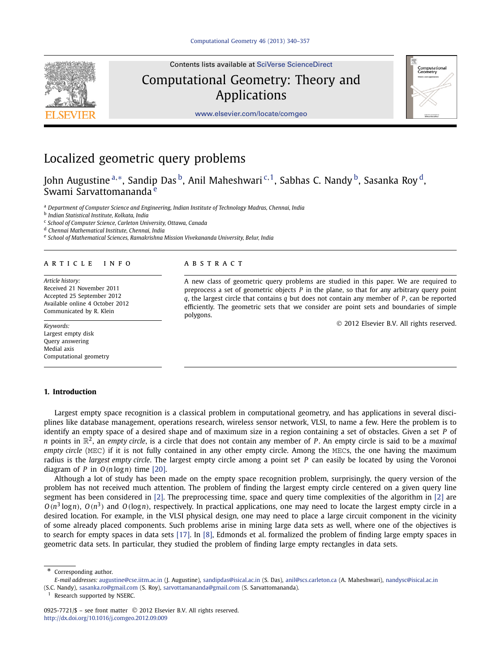

Contents lists available at [SciVerse ScienceDirect](http://www.ScienceDirect.com/)

Computational Geometry: Theory and Applications



[www.elsevier.com/locate/comgeo](http://www.elsevier.com/locate/comgeo)

# Localized geometric query problems

John Augustine <sup>a,∗</sup>, Sandip Das <sup>b</sup>, Anil Maheshwari<sup>c, 1</sup>, Sabhas C. Nandy <sup>b</sup>, Sasanka Roy <sup>d</sup>, Swami Sarvattomananda<sup>e</sup>

<sup>a</sup> *Department of Computer Science and Engineering, Indian Institute of Technology Madras, Chennai, India*

<sup>b</sup> *Indian Statistical Institute, Kolkata, India*

<sup>c</sup> *School of Computer Science, Carleton University, Ottawa, Canada*

<sup>d</sup> *Chennai Mathematical Institute, Chennai, India*

<sup>e</sup> *School of Mathematical Sciences, Ramakrishna Mission Vivekananda University, Belur, India*

## article info abstract

*Article history:* Received 21 November 2011 Accepted 25 September 2012 Available online 4 October 2012 Communicated by R. Klein

*Keywords:* Largest empty disk Query answering Medial axis Computational geometry

# **1. Introduction**

A new class of geometric query problems are studied in this paper. We are required to preprocess a set of geometric objects *P* in the plane, so that for any arbitrary query point *q*, the largest circle that contains *q* but does not contain any member of *P*, can be reported efficiently. The geometric sets that we consider are point sets and boundaries of simple polygons.

© 2012 Elsevier B.V. All rights reserved.

Largest empty space recognition is a classical problem in computational geometry, and has applications in several disciplines like database management, operations research, wireless sensor network, VLSI, to name a few. Here the problem is to identify an empty space of a desired shape and of maximum size in a region containing a set of obstacles. Given a set *P* of *n* points in R2, an *empty circle*, is a circle that does not contain any member of *P* . An empty circle is said to be a *maximal empty circle* (MEC) if it is not fully contained in any other empty circle. Among the MECs, the one having the maximum radius is the *largest empty circle*. The largest empty circle among a point set *P* can easily be located by using the Voronoi diagram of *P* in *O(n* log*n)* time [\[20\].](#page-17-0)

Although a lot of study has been made on the empty space recognition problem, surprisingly, the query version of the problem has not received much attention. The problem of finding the largest empty circle centered on a given query line segment has been considered in [\[2\].](#page-17-0) The preprocessing time, space and query time complexities of the algorithm in [\[2\]](#page-17-0) are  $O(n^3 \log n)$ ,  $O(n^3)$  and  $O(\log n)$ , respectively. In practical applications, one may need to locate the largest empty circle in a desired location. For example, in the VLSI physical design, one may need to place a large circuit component in the vicinity of some already placed components. Such problems arise in mining large data sets as well, where one of the objectives is to search for empty spaces in data sets [\[17\].](#page-17-0) In [\[8\],](#page-17-0) Edmonds et al. formalized the problem of finding large empty spaces in geometric data sets. In particular, they studied the problem of finding large empty rectangles in data sets.

Corresponding author.

*E-mail addresses:* [augustine@cse.iitm.ac.in](mailto:augustine@cse.iitm.ac.in) (J. Augustine), [sandipdas@isical.ac.in](mailto:sandipdas@isical.ac.in) (S. Das), [anil@scs.carleton.ca](mailto:anil@scs.carleton.ca) (A. Maheshwari), [nandysc@isical.ac.in](mailto:nandysc@isical.ac.in) (S.C. Nandy), [sasanka.ro@gmail.com](mailto:sasanka.ro@gmail.com) (S. Roy), [sarvottamananda@gmail.com](mailto:sarvottamananda@gmail.com) (S. Sarvattomananda).

 $1$  Research supported by NSERC.

<sup>0925-7721/\$ –</sup> see front matter © 2012 Elsevier B.V. All rights reserved. <http://dx.doi.org/10.1016/j.comgeo.2012.09.009>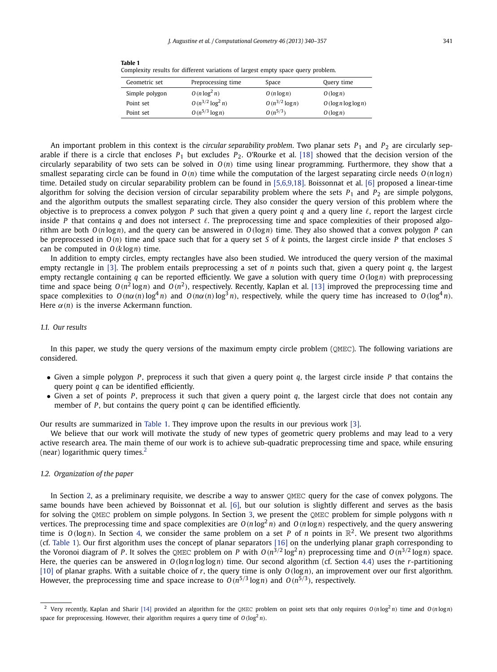| Geometric set  | Preprocessing time    | Space               | Query time         |
|----------------|-----------------------|---------------------|--------------------|
| Simple polygon | $O(n \log^2 n)$       | $O(n \log n)$       | O(log n)           |
| Point set      | $O(n^{3/2} \log^2 n)$ | $O(n^{3/2} \log n)$ | O(log n log log n) |
| Point set      | $O(n^{5/3} \log n)$   | $O(n^{5/3})$        | O(log n)           |

**Table 1** Complexity results for different variations of largest empty space query problem.

An important problem in this context is the *circular separability problem*. Two planar sets  $P_1$  and  $P_2$  are circularly separable if there is a circle that encloses  $P_1$  but excludes  $P_2$ . O'Rourke et al. [\[18\]](#page-17-0) showed that the decision version of the circularly separability of two sets can be solved in *O(n)* time using linear programming. Furthermore, they show that a smallest separating circle can be found in *O(n)* time while the computation of the largest separating circle needs *O(n* log*n)* time. Detailed study on circular separability problem can be found in [\[5,6,9,18\].](#page-17-0) Boissonnat et al. [\[6\]](#page-17-0) proposed a linear-time algorithm for solving the decision version of circular separability problem where the sets  $P_1$  and  $P_2$  are simple polygons, and the algorithm outputs the smallest separating circle. They also consider the query version of this problem where the objective is to preprocess a convex polygon P such that given a query point  $q$  and a query line  $\ell$ , report the largest circle inside P that contains q and does not intersect  $\ell$ . The preprocessing time and space complexities of their proposed algorithm are both *O(n* log*n)*, and the query can be answered in *O(*log*n)* time. They also showed that a convex polygon *P* can be preprocessed in *O(n)* time and space such that for a query set *S* of *k* points, the largest circle inside *P* that encloses *S* can be computed in *O(k* log*n)* time.

In addition to empty circles, empty rectangles have also been studied. We introduced the query version of the maximal empty rectangle in [\[3\].](#page-17-0) The problem entails preprocessing a set of *n* points such that, given a query point *q*, the largest empty rectangle containing *q* can be reported efficiently. We gave a solution with query time *O(*log*n)* with preprocessing time and space being  $O(n^2 \log n)$  and  $O(n^2)$ , respectively. Recently, Kaplan et al. [\[13\]](#page-17-0) improved the preprocessing time and space complexities to  $O(n\alpha(n)\log^4 n)$  and  $O(n\alpha(n)\log^3 n)$ , respectively, while the query time has increased to  $O(\log^4 n)$ . Here  $\alpha(n)$  is the inverse Ackermann function.

# *1.1. Our results*

In this paper, we study the query versions of the maximum empty circle problem (OMEC). The following variations are considered.

- Given a simple polygon *P* , preprocess it such that given a query point *q*, the largest circle inside *P* that contains the query point *q* can be identified efficiently.
- Given a set of points *P* , preprocess it such that given a query point *q*, the largest circle that does not contain any member of *P*, but contains the query point *q* can be identified efficiently.

Our results are summarized in Table 1. They improve upon the results in our previous work [\[3\].](#page-17-0)

We believe that our work will motivate the study of new types of geometric query problems and may lead to a very active research area. The main theme of our work is to achieve sub-quadratic preprocessing time and space, while ensuring (near) logarithmic query times. $<sup>2</sup>$ </sup>

# *1.2. Organization of the paper*

In Section [2,](#page-2-0) as a preliminary requisite, we describe a way to answer OMEC query for the case of convex polygons. The same bounds have been achieved by Boissonnat et al. [\[6\],](#page-17-0) but our solution is slightly different and serves as the basis for solving the QMEC problem on simple polygons. In Section [3,](#page-3-0) we present the QMEC problem for simple polygons with *n* vertices. The preprocessing time and space complexities are  $O(n \log^2 n)$  and  $O(n \log n)$  respectively, and the query answering time is  $O(log n)$ . In Section [4,](#page-10-0) we consider the same problem on a set *P* of *n* points in  $\mathbb{R}^2$ . We present two algorithms (cf. Table 1). Our first algorithm uses the concept of planar separators [\[16\]](#page-17-0) on the underlying planar graph corresponding to the Voronoi diagram of *P*. It solves the QMEC problem on *P* with  $O(n^{3/2} \log^2 n)$  preprocessing time and  $O(n^{3/2} \log n)$  space. Here, the queries can be answered in  $O(logn log log n)$  time. Our second algorithm (cf. Section [4.4\)](#page-16-0) uses the *r*-partitioning [\[10\]](#page-17-0) of planar graphs. With a suitable choice of *r*, the query time is only *O(*log*n)*, an improvement over our first algorithm. However, the preprocessing time and space increase to  $O(n^{5/3} \log n)$  and  $O(n^{5/3})$ , respectively.

<sup>&</sup>lt;sup>2</sup> Very recently, Kaplan and Sharir [\[14\]](#page-17-0) provided an algorithm for the QMEC problem on point sets that only requires  $O(n \log^2 n)$  time and  $O(n \log n)$ space for preprocessing. However, their algorithm requires a query time of  $O(\log^2 n)$ .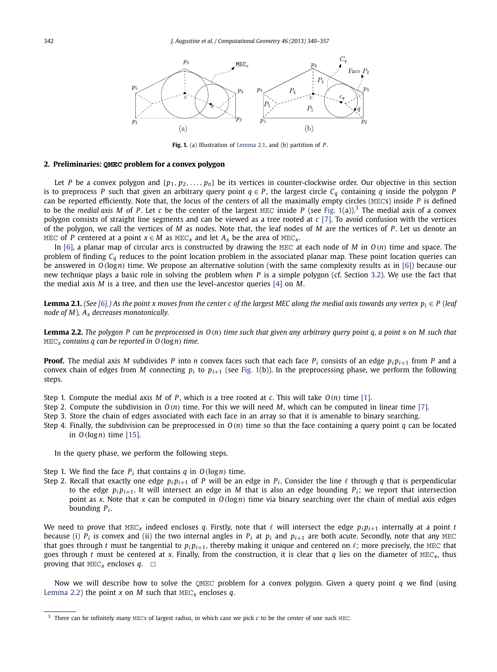<span id="page-2-0"></span>

**Fig. 1.** (a) Illustration of Lemma 2.1, and (b) partition of *P* .

### **2. Preliminaries: QMEC problem for a convex polygon**

Let *P* be a convex polygon and  $\{p_1, p_2, \ldots, p_n\}$  be its vertices in counter-clockwise order. Our objective in this section is to preprocess *P* such that given an arbitrary query point  $q \in P$ , the largest circle  $C_q$  containing *q* inside the polygon *P* can be reported efficiently. Note that, the locus of the centers of all the maximally empty circles (MECs) inside *P* is defined to be the *medial axis M* of *P*. Let *c* be the center of the largest MEC inside *P* (see Fig. 1(a)).<sup>3</sup> The medial axis of a convex polygon consists of straight line segments and can be viewed as a tree rooted at *c* [\[7\].](#page-17-0) To avoid confusion with the vertices of the polygon, we call the vertices of *M* as nodes. Note that, the leaf nodes of *M* are the vertices of *P* . Let us denote an MEC of *P* centered at a point  $x \in M$  as MEC<sub>*x*</sub> and let  $A_x$  be the area of MEC<sub>*x*</sub>.

In [\[6\],](#page-17-0) a planar map of circular arcs is constructed by drawing the MEC at each node of *M* in *O(n)* time and space. The problem of finding *Cq* reduces to the point location problem in the associated planar map. These point location queries can be answered in *O(*log*n)* time. We propose an alternative solution (with the same complexity results as in [\[6\]\)](#page-17-0) because our new technique plays a basic role in solving the problem when *P* is a simple polygon (cf. Section [3.2\)](#page-5-0). We use the fact that the medial axis *M* is a tree, and then use the level-ancestor queries [\[4\]](#page-17-0) on *M*.

**Lemma 2.1.** (See  $[6]$ .) As the point x moves from the center c of the largest MEC along the medial axis towards any vertex  $p_i \in P$  (leaf *node of M*)*, Ax decreases monotonically.*

**Lemma 2.2.** *The polygon P can be preprocessed in O(n) time such that given any arbitrary query point q, a point x on M such that* MEC*<sup>x</sup> contains q can be reported in O(*log*n) time.*

**Proof.** The medial axis *M* subdivides *P* into *n* convex faces such that each face  $P_i$  consists of an edge  $p_i p_{i+1}$  from *P* and a convex chain of edges from *M* connecting  $p_i$  to  $p_{i+1}$  (see Fig. 1(b)). In the preprocessing phase, we perform the following steps.

- Step 1. Compute the medial axis *M* of *P*, which is a tree rooted at *c*. This will take  $O(n)$  time [\[1\].](#page-17-0)
- Step 2. Compute the subdivision in  $O(n)$  time. For this we will need *M*, which can be computed in linear time [\[7\].](#page-17-0)
- Step 3. Store the chain of edges associated with each face in an array so that it is amenable to binary searching.
- Step 4. Finally, the subdivision can be preprocessed in *O(n)* time so that the face containing a query point *q* can be located in *O(*log*n)* time [\[15\].](#page-17-0)

In the query phase, we perform the following steps.

- Step 1. We find the face  $P_i$  that contains  $q$  in  $O(log n)$  time.
- Step 2. Recall that exactly one edge  $p_i p_{i+1}$  of P will be an edge in  $P_i$ . Consider the line  $\ell$  through  $q$  that is perpendicular to the edge  $p_i p_{i+1}$ . It will intersect an edge in *M* that is also an edge bounding  $P_i$ ; we report that intersection point as *x*. Note that *x* can be computed in *O(*log*n)* time via binary searching over the chain of medial axis edges bounding *Pi* .

We need to prove that  ${MEC_X}$  indeed encloses *q*. Firstly, note that  $\ell$  will intersect the edge  $p_ip_{i+1}$  internally at a point *t* because (i)  $P_i$  is convex and (ii) the two internal angles in  $P_i$  at  $p_i$  and  $p_{i+1}$  are both acute. Secondly, note that any MEC that goes through t must be tangential to  $p_i p_{i+1}$ , thereby making it unique and centered on  $\ell$ ; more precisely, the MEC that goes through *t* must be centered at *x*. Finally, from the construction, it is clear that *q* lies on the diameter of MEC*x*, thus proving that  $MEC<sub>x</sub>$  encloses *q*.  $\Box$ 

Now we will describe how to solve the QMEC problem for a convex polygon. Given a query point *q* we find (using Lemma 2.2) the point *x* on *M* such that MEC*<sup>x</sup>* encloses *q*.

<sup>3</sup> There can be infinitely many MECs of largest radius, in which case we pick *c* to be the center of one such MEC.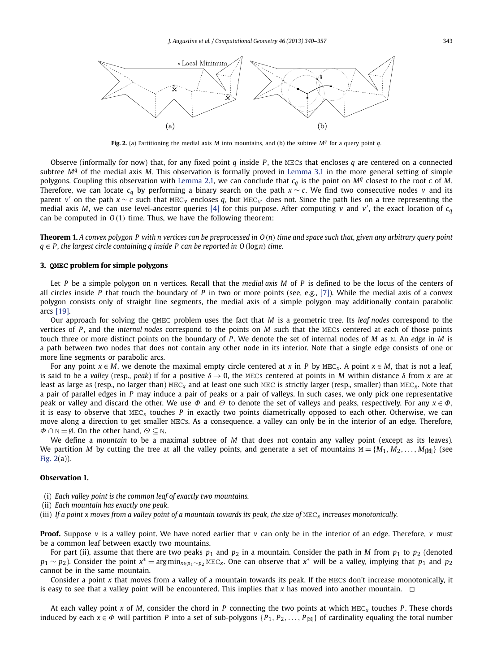<span id="page-3-0"></span>

**Fig. 2.** (a) Partitioning the medial axis *M* into mountains, and (b) the subtree *M<sup>q</sup>* for a query point *q*.

Observe (informally for now) that, for any fixed point *q* inside *P* , the MECs that encloses *q* are centered on a connected subtree *M<sup>q</sup>* of the medial axis *M*. This observation is formally proved in [Lemma 3.1](#page-4-0) in the more general setting of simple polygons. Coupling this observation with [Lemma 2.1,](#page-2-0) we can conclude that *cq* is the point on *M<sup>q</sup>* closest to the root *c* of *M*. Therefore, we can locate *cq* by performing a binary search on the path *x* ∼ *c*. We find two consecutive nodes *v* and its parent *<sup>v</sup>* on the path *<sup>x</sup>* ∼ *<sup>c</sup>* such that MEC*<sup>v</sup>* encloses *<sup>q</sup>*, but MEC*v* does not. Since the path lies on a tree representing the medial axis *M*, we can use level-ancestor queries [\[4\]](#page-17-0) for this purpose. After computing *v* and *v* , the exact location of *cq* can be computed in *O(*1*)* time. Thus, we have the following theorem:

**Theorem 1.** *A convex polygon P with n vertices can be preprocessed in O(n) time and space such that, given any arbitrary query point q* ∈ *P , the largest circle containing q inside P can be reported in O(*log*n) time.*

# **3. QMEC problem for simple polygons**

Let *P* be a simple polygon on *n* vertices. Recall that the *medial axis M* of *P* is defined to be the locus of the centers of all circles inside *P* that touch the boundary of *P* in two or more points (see, e.g., [\[7\]\)](#page-17-0). While the medial axis of a convex polygon consists only of straight line segments, the medial axis of a simple polygon may additionally contain parabolic arcs [\[19\].](#page-17-0)

Our approach for solving the QMEC problem uses the fact that *M* is a geometric tree. Its *leaf nodes* correspond to the vertices of *P* , and the *internal nodes* correspond to the points on *M* such that the MECs centered at each of those points touch three or more distinct points on the boundary of *P* . We denote the set of internal nodes of *M* as N. An *edge* in *M* is a path between two nodes that does not contain any other node in its interior. Note that a single edge consists of one or more line segments or parabolic arcs.

For any point  $x \in M$ , we denote the maximal empty circle centered at x in P by MEC<sub>x</sub>. A point  $x \in M$ , that is not a leaf, is said to be a *valley* (resp., *peak*) if for a positive  $\delta \to 0$ , the MECs centered at points in *M* within distance  $\delta$  from *x* are at least as large as (resp., no larger than) MEC*<sup>x</sup>* and at least one such MEC is strictly larger (resp., smaller) than MEC*x*. Note that a pair of parallel edges in *P* may induce a pair of peaks or a pair of valleys. In such cases, we only pick one representative peak or valley and discard the other. We use *Φ* and *Θ* to denote the set of valleys and peaks, respectively. For any *x* ∈ *Φ*, it is easy to observe that MEC*<sup>x</sup>* touches *P* in exactly two points diametrically opposed to each other. Otherwise, we can move along a direction to get smaller MECs. As a consequence, a valley can only be in the interior of an edge. Therefore, *Φ* ∩ N = Ø. On the other hand,  $Θ$  ⊂ N.

We define a *mountain* to be a maximal subtree of *M* that does not contain any valley point (except as its leaves). We partition *M* by cutting the tree at all the valley points, and generate a set of mountains  $M = \{M_1, M_2, \ldots, M_{|M|}\}$  (see Fig. 2(a)).

# **Observation 1.**

- (i) *Each valley point is the common leaf of exactly two mountains.*
- (ii) *Each mountain has exactly one peak.*
- (iii) *If a point x moves from a valley point of a mountain towards its peak, the size of* MEC*<sup>x</sup> increases monotonically.*

**Proof.** Suppose *v* is a valley point. We have noted earlier that *v* can only be in the interior of an edge. Therefore, *v* must be a common leaf between exactly two mountains.

For part (ii), assume that there are two peaks  $p_1$  and  $p_2$  in a mountain. Consider the path in *M* from  $p_1$  to  $p_2$  (denoted *p*<sub>1</sub> ∼ *p*<sub>2</sub>). Consider the point *x*<sup>\*</sup> = argmin<sub>*x*∈*p*<sub>1</sub>∼*p*<sub>2</sub> MEC<sub>*x*</sub>. One can observe that *x*<sup>\*</sup> will be a valley, implying that *p*<sub>1</sub> and *p*<sub>2</sub></sub> cannot be in the same mountain.

Consider a point *x* that moves from a valley of a mountain towards its peak. If the MECs don't increase monotonically, it is easy to see that a valley point will be encountered. This implies that  $x$  has moved into another mountain.  $\Box$ 

At each valley point *x* of *M*, consider the chord in *P* connecting the two points at which MEC*<sup>x</sup>* touches *P* . These chords induced by each  $x \in \Phi$  will partition *P* into a set of sub-polygons  $\{P_1, P_2, \ldots, P_{\text{[M]}}\}$  of cardinality equaling the total number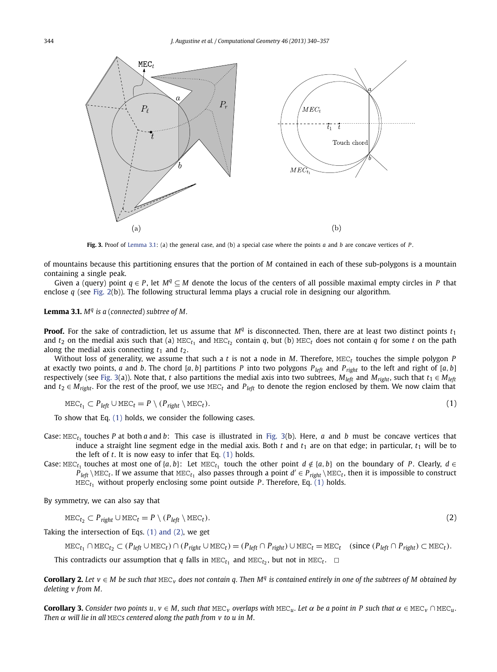<span id="page-4-0"></span>

**Fig. 3.** Proof of Lemma 3.1: (a) the general case, and (b) a special case where the points *a* and *b* are concave vertices of *P* .

of mountains because this partitioning ensures that the portion of *M* contained in each of these sub-polygons is a mountain containing a single peak.

Given a (query) point  $q \in P$ , let  $M^q \subseteq M$  denote the locus of the centers of all possible maximal empty circles in P that enclose *q* (see [Fig. 2\(](#page-3-0)b)). The following structural lemma plays a crucial role in designing our algorithm.

**Lemma 3.1.** *M<sup>q</sup> is a* (*connected*) *subtree of M.*

**Proof.** For the sake of contradiction, let us assume that  $M<sup>q</sup>$  is disconnected. Then, there are at least two distinct points  $t<sub>1</sub>$ and  $t_2$  on the medial axis such that (a) MEC<sub>t<sub>1</sub></sub> and MEC<sub>t<sub>2</sub> contain *q*, but (b) MEC<sub>t</sub> does not contain *q* for some *t* on the path</sub> along the medial axis connecting  $t_1$  and  $t_2$ .

Without loss of generality, we assume that such a *t* is not a node in *M*. Therefore, MEC*<sup>t</sup>* touches the simple polygon *P* at exactly two points, *a* and *b*. The chord  $[a, b]$  partitions *P* into two polygons  $P_{left}$  and  $P_{right}$  to the left and right of  $[a, b]$ respectively (see Fig. 3(a)). Note that, *t* also partitions the medial axis into two subtrees,  $M_{left}$  and  $M_{right}$ , such that  $t_1 \in M_{left}$ and  $t_2 \in M_{right}$ . For the rest of the proof, we use MEC<sub>t</sub> and  $P_{left}$  to denote the region enclosed by them. We now claim that

$$
\text{MEC}_{t_1} \subset P_{\text{left}} \cup \text{MEC}_t = P \setminus (P_{\text{right}} \setminus \text{MEC}_t). \tag{1}
$$

To show that Eq. (1) holds, we consider the following cases.

Case:  $MEC<sub>f1</sub>$  touches *P* at both *a* and *b*: This case is illustrated in Fig. 3(b). Here, *a* and *b* must be concave vertices that induce a straight line segment edge in the medial axis. Both  $t$  and  $t_1$  are on that edge; in particular,  $t_1$  will be to the left of *t*. It is now easy to infer that Eq. (1) holds.

Case: MEC<sub>t<sub>1</sub></sub> touches at most one of {*a*, *b*}: Let MEC<sub>t<sub>1</sub></sub> touch the other point  $d \notin \{a, b\}$  on the boundary of *P*. Clearly,  $d \in$  $P_{left} \setminus \text{MEC}_t$ . If we assume that  $\text{MEC}_t$ <sub>1</sub> also passes through a point  $d' \in P_{right} \setminus \text{MEC}_t$ , then it is impossible to construct  $MEC<sub>t1</sub>$  without properly enclosing some point outside *P*. Therefore, Eq. (1) holds.

By symmetry, we can also say that

$$
\text{MEC}_{t_2} \subset P_{\text{right}} \cup \text{MEC}_t = P \setminus (P_{\text{left}} \setminus \text{MEC}_t). \tag{2}
$$

Taking the intersection of Eqs. (1) and (2), we get

$$
\text{MEC}_{t_1} \cap \text{MEC}_{t_2} \subset (P_{\text{left}} \cup \text{MEC}_{t}) \cap (P_{\text{right}} \cup \text{MEC}_{t}) = (P_{\text{left}} \cap P_{\text{right}}) \cup \text{MEC}_{t} = \text{MEC}_{t} \quad (\text{since } (P_{\text{left}} \cap P_{\text{right}}) \subset \text{MEC}_{t}).
$$

This contradicts our assumption that *q* falls in  $MEC_{t_1}$  and  $MEC_{t_2}$ , but not in  $MEC_t$ .  $\Box$ 

**Corollary 2.** Let  $v \in M$  be such that  $MEC<sub>v</sub>$  does not contain q. Then  $M<sup>q</sup>$  is contained entirely in one of the subtrees of M obtained by *deleting v from M.*

**Corollary 3.** Consider two points  $u, v \in M$ , such that MEC<sub>*v*</sub> overlaps with MEC<sub>u</sub>. Let  $\alpha$  be a point in P such that  $\alpha \in \text{MEC}_V \cap \text{MEC}_u$ . *Then α will lie in all* MEC*s centered along the path from v to u in M.*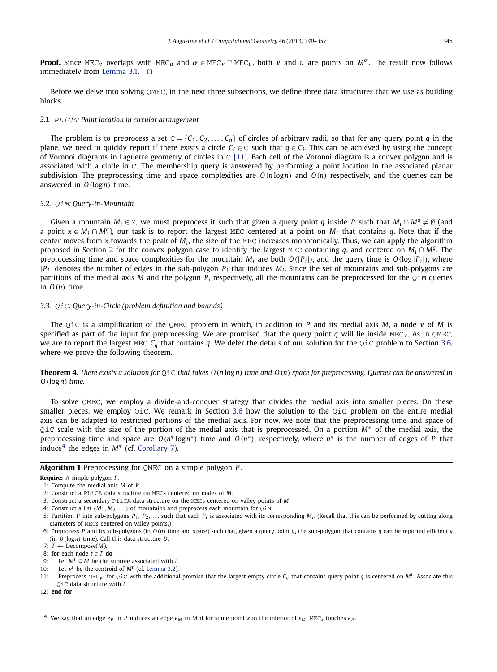<span id="page-5-0"></span>**Proof.** Since MEC<sub>*v*</sub> overlaps with MEC<sub>*u*</sub> and  $\alpha \in \text{MEC}_V \cap \text{MEC}_u$ , both *v* and *u* are points on  $M^{\alpha}$ . The result now follows immediately from [Lemma 3.1.](#page-4-0)  $\Box$ 

Before we delve into solving QMEC, in the next three subsections, we define three data structures that we use as building blocks.

# *3.1.* PLiCA*: Point location in circular arrangement*

The problem is to preprocess a set  $C = \{C_1, C_2, \ldots, C_n\}$  of circles of arbitrary radii, so that for any query point *q* in the plane, we need to quickly report if there exists a circle  $C_i \in \mathbb{C}$  such that  $q \in C_i$ . This can be achieved by using the concept of Voronoi diagrams in Laguerre geometry of circles in C [\[11\].](#page-17-0) Each cell of the Voronoi diagram is a convex polygon and is associated with a circle in C. The membership query is answered by performing a point location in the associated planar subdivision. The preprocessing time and space complexities are  $O(n \log n)$  and  $O(n)$  respectively, and the queries can be answered in *O(*log*n)* time.

#### *3.2.* QiM*: Query-in-Mountain*

Given a mountain  $M_i \in M$ , we must preprocess it such that given a query point *q* inside *P* such that  $M_i \cap M^q \neq \emptyset$  (and a point  $x \in M_i \cap M^q$ , our task is to report the largest MEC centered at a point on  $M_i$  that contains q. Note that if the center moves from *x* towards the peak of *Mi* , the size of the MEC increases monotonically. Thus, we can apply the algorithm proposed in Section [2](#page-2-0) for the convex polygon case to identify the largest MEC containing *q*, and centered on  $M_i \cap M_q$ . The preprocessing time and space complexities for the mountain  $M_i$  are both  $O(|P_i|)$ , and the query time is  $O(\log |P_i|)$ , where  $|P_i|$  denotes the number of edges in the sub-polygon  $P_i$  that induces  $M_i$ . Since the set of mountains and sub-polygons are partitions of the medial axis *M* and the polygon *P* , respectively, all the mountains can be preprocessed for the QiM queries in *O(n)* time.

# *3.3.* QiC*: Query-in-Circle (problem definition and bounds)*

The QiC is a simplification of the QMEC problem in which, in addition to *P* and its medial axis *M*, a node *v* of *M* is specified as part of the input for preprocessing. We are promised that the query point *q* will lie inside MEC*<sup>v</sup>* . As in QMEC, we are to report the largest MEC *Cq* that contains *q*. We defer the details of our solution for the QiC problem to Section [3.6,](#page-7-0) where we prove the following theorem.

**Theorem 4.** *There exists a solution for* QiC *that takes O(n* log*n) time and O(n) space for preprocessing. Queries can be answered in O(*log*n) time.*

To solve QMEC, we employ a divide-and-conquer strategy that divides the medial axis into smaller pieces. On these smaller pieces, we employ QiC. We remark in Section [3.6](#page-7-0) how the solution to the QiC problem on the entire medial axis can be adapted to restricted portions of the medial axis. For now, we note that the preprocessing time and space of QiC scale with the size of the portion of the medial axis that is preprocessed. On a portion *M*<sup>∗</sup> of the medial axis, the preprocessing time and space are *O(n*<sup>∗</sup> log*n*∗*)* time and *O(n*∗*)*, respectively, where *n*<sup>∗</sup> is the number of edges of *P* that induce<sup>4</sup> the edges in *M*<sup>∗</sup> (cf. [Corollary 7\)](#page-10-0).

# **Algorithm 1** Preprocessing for QMEC on a simple polygon *P* .

```
Require: A simple polygon P .
```
- 3: Construct a secondary PliCA data structure on the MECs centered on valley points of *M*.
- 4: Construct a list  $(M_1, M_2, ...)$  of mountains and preprocess each mountain for  $Q \text{ in } M$ .

- 7:  $T \leftarrow$  Decompose(*M*).
- 8: **for** each node  $t \in T$  **do**
- 9: Let  $M^t \subseteq M$  be the subtree associated with *t*.
- 10: Let *v<sup>t</sup>* be the centroid of *M<sup>t</sup>* (cf. [Lemma 3.2\)](#page-6-0).

12: **end for**

<sup>1:</sup> Compute the medial axis *M* of *P* .

<sup>2:</sup> Construct a PLiCA data structure on MECs centered on nodes of *M*.

<sup>5:</sup> Partition *P* into sub-polygons  $P_1$ ,  $P_2$ ,  $\ldots$  such that each  $P_i$  is associated with its corresponding  $M_i$ . (Recall that this can be performed by cutting along diameters of MECs centered on valley points.)

<sup>6:</sup> Preprocess P and its sub-polygons (in  $O(n)$  time and space) such that, given a query point q, the sub-polygon that contains q can be reported efficiently (in *O(*log*n)* time). Call this data structure *D*.

<sup>11:</sup> Preprocess MEC<sub>v</sub><sup>*t*</sup> for Q<sub>i</sub>c with the additional promise that the largest empty circle  $C_q$  that contains query point *q* is centered on *M<sup>t</sup>*. Associate this QiC data structure with *t*.

<sup>&</sup>lt;sup>4</sup> We say that an edge  $e_P$  in *P* induces an edge  $e_M$  in *M* if for some point *x* in the interior of  $e_M$ , MEC<sub>*x*</sub> touches  $e_P$ .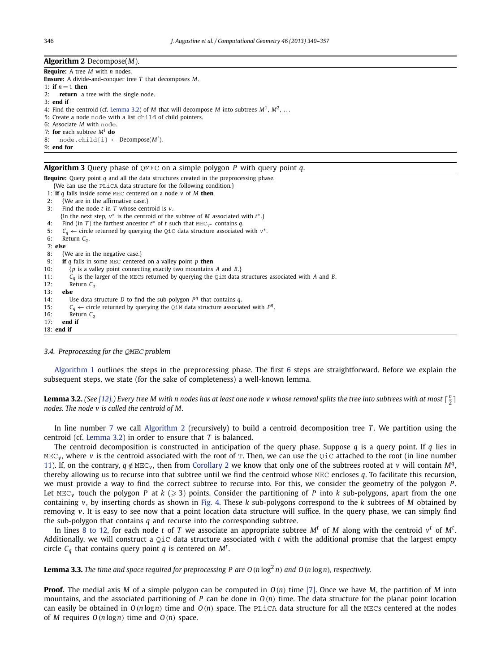#### <span id="page-6-0"></span>**Algorithm 2** Decompose(*M*).

**Require:** A tree *M* with *n* nodes. **Ensure:** A divide-and-conquer tree *T* that decomposes *M*. 1: **if**  $n = 1$  **then** 2: **return** a tree with the single node. 3: **end if** 4: Find the centroid (cf. Lemma 3.2) of *M* that will decompose *M* into subtrees *M*1, *M*2, *...* 5: Create a node node with a list child of child pointers. 6: Associate *M* with node. 7: **for** each subtree *M<sup>i</sup>* **do** 8: node.child[i]  $\leftarrow$  Decompose( $M^i$ ). 9: **end for**

# **Algorithm 3** Query phase of QMEC on a simple polygon *P* with query point *q*.

**Require:** Query point *q* and all the data structures created in the preprocessing phase.

- {We can use the PLiCA data structure for the following condition.}
- 1: **if** *q* falls inside some MEC centered on a node *v* of *M* **then**
- 2: {We are in the affirmative case.}
- 3: Find the node *t* in *T* whose centroid is *v*.
- {In the next step, *v*<sup>∗</sup> is the centroid of the subtree of *M* associated with *t*∗.}
- 4: Find (in *T*) the farthest ancestor  $t^*$  of  $t$  such that  $MEC_{\gamma^*}$  contains *q*.
- 5: *Cq* ← circle returned by querying the QiC data structure associated with *<sup>v</sup>*∗.
- 6: Return *Cq* .
- 7: **else**
- 8: {We are in the negative case.}
- 9: **if** *q* falls in some MEC centered on a valley point *p* **then**
- 10: {*p* is a valley point connecting exactly two mountains *A* and *B*.}
- 11: *Cq* is the larger of the MECs returned by querying the QiM data structures associated with *A* and *B*.
- 12: Return  $C_q$ .
- 13: **else**
- 14: Use data structure *D* to find the sub-polygon *P<sup>q</sup>* that contains *q*.
- 15:  $C_q$  ← circle returned by querying the QiM data structure associated with  $P^q$ .<br>16: **Return C**<sub>q</sub>
- 16: Return  $C_q$ <br>17: **end if**
- end if

#### 18: **end if**

# *3.4. Preprocessing for the* QMEC *problem*

[Algorithm 1](#page-5-0) outlines the steps in the preprocessing phase. The first [6](#page-5-0) steps are straightforward. Before we explain the subsequent steps, we state (for the sake of completeness) a well-known lemma.

**Lemma 3.2.** (See [\[12\].](#page-17-0)) Every tree M with n nodes has at least one node v whose removal splits the tree into subtrees with at most  $\lceil \frac{n}{2} \rceil$ *nodes. The node v is called the centroid of M.*

In line number [7](#page-5-0) we call Algorithm 2 (recursively) to build a centroid decomposition tree *T* . We partition using the centroid (cf. Lemma 3.2) in order to ensure that *T* is balanced.

The centroid decomposition is constructed in anticipation of the query phase. Suppose *q* is a query point. If *q* lies in  $MEC<sub>v</sub>$ , where *v* is the centroid associated with the root of T. Then, we can use the  $QiC$  attached to the root (in line number [11\)](#page-5-0). If, on the contrary,  $q \notin \text{MEC}_V$ , then from [Corollary 2](#page-4-0) we know that only one of the subtrees rooted at *v* will contain M<sup>*q*</sup>, thereby allowing us to recurse into that subtree until we find the centroid whose MEC encloses *q*. To facilitate this recursion, we must provide a way to find the correct subtree to recurse into. For this, we consider the geometry of the polygon *P* . Let  $MEC<sub>v</sub>$  touch the polygon *P* at *k* ( $\geqslant$  3) points. Consider the partitioning of *P* into *k* sub-polygons, apart from the one containing *v*, by inserting chords as shown in [Fig. 4.](#page-7-0) These *k* sub-polygons correspond to the *k* subtrees of *M* obtained by removing *v*. It is easy to see now that a point location data structure will suffice. In the query phase, we can simply find the sub-polygon that contains *q* and recurse into the corresponding subtree.

In lines [8 to 12,](#page-5-0) for each node t of T we associate an appropriate subtree  $M^t$  of M along with the centroid  $v^t$  of  $M^t$ . Additionally, we will construct a QiC data structure associated with *t* with the additional promise that the largest empty circle *Cq* that contains query point *q* is centered on *M<sup>t</sup>* .

**Lemma 3.3.** The time and space required for preprocessing P are  $O(n \log^2 n)$  and  $O(n \log n)$ , respectively.

**Proof.** The medial axis *M* of a simple polygon can be computed in *O(n)* time [\[7\].](#page-17-0) Once we have *M*, the partition of *M* into mountains, and the associated partitioning of *P* can be done in  $O(n)$  time. The data structure for the planar point location can easily be obtained in  $O(n \log n)$  time and  $O(n)$  space. The PLiCA data structure for all the MECs centered at the nodes of *M* requires  $O(n \log n)$  time and  $O(n)$  space.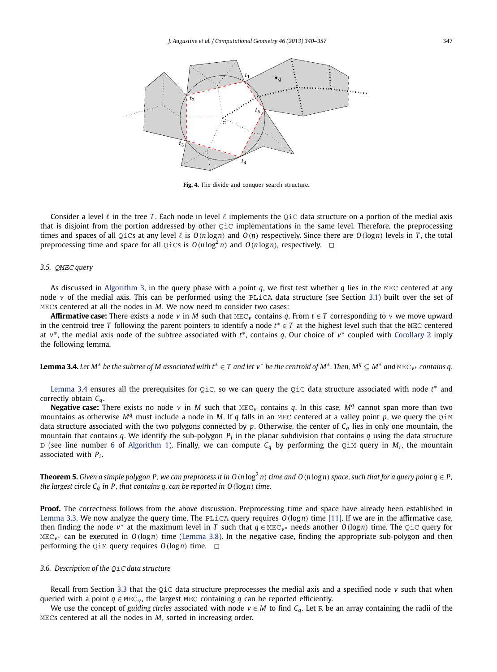<span id="page-7-0"></span>

**Fig. 4.** The divide and conquer search structure.

Consider a level  $\ell$  in the tree T. Each node in level  $\ell$  implements the QiC data structure on a portion of the medial axis that is disjoint from the portion addressed by other QiC implementations in the same level. Therefore, the preprocessing times and spaces of all QiCs at any level  $\ell$  is  $O(n\log n)$  and  $O(n)$  respectively. Since there are  $O(\log n)$  levels in T, the total preprocessing time and space for all QiCs is  $O(n \log^2 n)$  and  $O(n \log n)$ , respectively.  $\Box$ 

## *3.5.* QMEC *query*

As discussed in [Algorithm 3,](#page-6-0) in the query phase with a point *q*, we first test whether *q* lies in the MEC centered at any node *v* of the medial axis. This can be performed using the PLiCA data structure (see Section [3.1\)](#page-5-0) built over the set of MECs centered at all the nodes in *M*. We now need to consider two cases:

**Affirmative case:** There exists a node *v* in *M* such that MEC*<sup>v</sup>* contains *q*. From *t* ∈ *T* corresponding to *v* we move upward in the centroid tree *T* following the parent pointers to identify a node *t*<sup>∗</sup> ∈ *T* at the highest level such that the MEC centered at *v*∗, the medial axis node of the subtree associated with *t*∗, contains *q*. Our choice of *v*<sup>∗</sup> coupled with [Corollary 2](#page-4-0) imply the following lemma.

**Lemma 3.4.** Let M<sup>∗</sup> be the subtree of M associated with  $t^* \in T$  and let v<sup>∗</sup> be the centroid of M<sup>\*</sup>. Then, M<sup>*q*</sup> ⊆ M<sup>\*</sup> and MEC<sub>V</sub><sup>∗</sup> contains q.

Lemma 3.4 ensures all the prerequisites for QiC, so we can query the QiC data structure associated with node *t*<sup>∗</sup> and correctly obtain *Cq*.

**Negative case:** There exists no node *v* in *M* such that MEC<sub>*v*</sub> contains *q*. In this case,  $M<sup>q</sup>$  cannot span more than two mountains as otherwise  $M<sup>q</sup>$  must include a node in *M*. If *q* falls in an MEC centered at a valley point *p*, we query the  $Q \text{i} M$ data structure associated with the two polygons connected by *p*. Otherwise, the center of *Cq* lies in only one mountain, the mountain that contains *q*. We identify the sub-polygon *Pi* in the planar subdivision that contains *q* using the data structure D (see line number [6](#page-5-0) of [Algorithm 1\)](#page-5-0). Finally, we can compute  $C_q$  by performing the QiM query in  $M_i$ , the mountain associated with  $P_i$ .

**Theorem 5.** Given a simple polygon P, we can preprocess it in O (n  $log^2 n$ ) time and O (n  $log n$ ) space, such that for a query point  $q \in P$ , *the largest circle Cq in P , that contains q, can be reported in O(*log*n) time.*

**Proof.** The correctness follows from the above discussion. Preprocessing time and space have already been established in [Lemma 3.3.](#page-6-0) We now analyze the query time. The PLiCA query requires *O(*log*n)* time [\[11\].](#page-17-0) If we are in the affirmative case, then finding the node *<sup>v</sup>*<sup>∗</sup> at the maximum level in *<sup>T</sup>* such that *<sup>q</sup>* ∈ MEC*v*<sup>∗</sup> needs another *<sup>O</sup>(*log*n)* time. The QiC query for MEC*v*<sup>∗</sup> can be executed in *O(*log*n)* time [\(Lemma 3.8\)](#page-10-0). In the negative case, finding the appropriate sub-polygon and then performing the  $Q_iM$  query requires  $Q(\log n)$  time.  $\Box$ 

# *3.6. Description of the* QiC *data structure*

Recall from Section [3.3](#page-5-0) that the QiC data structure preprocesses the medial axis and a specified node *v* such that when queried with a point  $q \in \text{MEC}_V$ , the largest MEC containing *q* can be reported efficiently.

We use the concept of *guiding circles* associated with node  $v \in M$  to find  $C_q$ . Let R be an array containing the radii of the MECs centered at all the nodes in *M*, sorted in increasing order.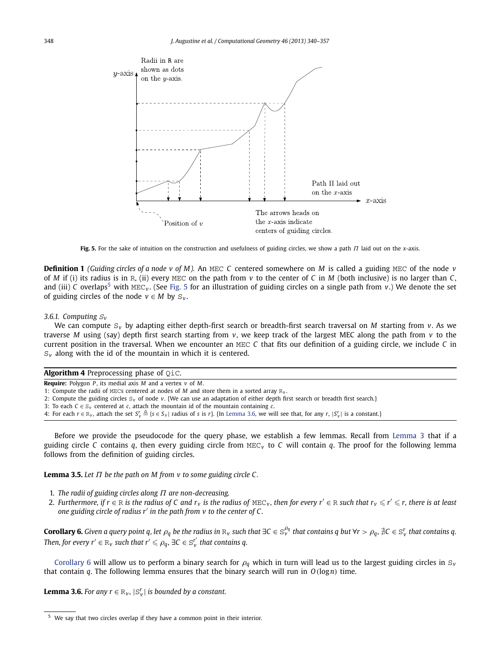<span id="page-8-0"></span>

**Fig. 5.** For the sake of intuition on the construction and usefulness of guiding circles, we show a path *Π* laid out on the *x*-axis.

**Definition 1** *(Guiding circles of a node v of M).* An MEC *C* centered somewhere on *M* is called a guiding MEC of the node *v* of *M* if (i) its radius is in R, (ii) every MEC on the path from  $\nu$  to the center of *C* in *M* (both inclusive) is no larger than *C*, and (iii) *C* overlaps<sup>5</sup> with MEC<sub>*v*</sub>. (See Fig. 5 for an illustration of guiding circles on a single path from *v*.) We denote the set of guiding circles of the node  $v \in M$  by  $S_v$ .

# *3.6.1. Computing* <sup>S</sup>*<sup>v</sup>*

We can compute S*<sup>v</sup>* by adapting either depth-first search or breadth-first search traversal on *M* starting from *v*. As we traverse *M* using (say) depth first search starting from *v*, we keep track of the largest MEC along the path from *v* to the current position in the traversal. When we encounter an MEC *C* that fits our definition of a guiding circle, we include *C* in  $S_v$  along with the id of the mountain in which it is centered.

| <b>Algorithm 4</b> Preprocessing phase of $Qic$ .                   |  |
|---------------------------------------------------------------------|--|
| <b>Require:</b> Polygon P, its medial axis M and a vertex $v$ of M. |  |

1: Compute the radii of MECs centered at nodes of  $M$  and store them in a sorted array  $R_v$ .

- 2: Compute the guiding circles S*<sup>v</sup>* of node *v*. {We can use an adaptation of either depth first search or breadth first search.}
- 3: To each *C* ∈ S*<sup>v</sup>* centered at *c*, attach the mountain id of the mountain containing *c*.

4: For each  $r \in \mathbb{R}_v$ , attach the set  $S_v^r \triangleq \{s \in S_v |$  radius of s is r}. {In Lemma 3.6, we will see that, for any  $r, |S_v^r|$  is a constant.}

Before we provide the pseudocode for the query phase, we establish a few lemmas. Recall from [Lemma 3](#page-4-0) that if a guiding circle *C* contains *q*, then every guiding circle from MEC*<sup>v</sup>* to *C* will contain *q*. The proof for the following lemma follows from the definition of guiding circles.

**Lemma 3.5.** *Let Π be the path on M from v to some guiding circle C .*

- 1. *The radii of guiding circles along Π are non-decreasing.*
- 2. *Furthermore, if*  $r \in \mathbb{R}$  *is the radius of* C and  $r_v$  *is the radius of* MEC<sub>*v*</sub>, *then for every*  $r' \in \mathbb{R}$  *such that*  $r_v \le r' \le r$ *, there is at least one guiding circle of radius r in the path from v to the center of C .*

**Corollary 6.** Given a query point q, let  $\rho_q$  be the radius in  $R_v$  such that  $\exists C\in S_v^{\rho_q}$  that contains q but  $\forall r>\rho_q,$   $\nexists C\in S_v^r$  that contains q. *Then, for every r'*  $\in$   $\mathbb{R}_v$  *such that r'*  $\leqslant \rho_q$ ,  $\exists C \in \mathbb{S}_v^{r'}$  *that contains q.* 

Corollary 6 will allow us to perform a binary search for *ρ<sup>q</sup>* which in turn will lead us to the largest guiding circles in S*<sup>v</sup>* that contain *q*. The following lemma ensures that the binary search will run in *O(*log*n)* time.

**Lemma 3.6.** *For any*  $r \in R_v$ *,*  $|S_v^r|$  *is bounded by a constant.* 

<sup>5</sup> We say that two circles overlap if they have a common point in their interior.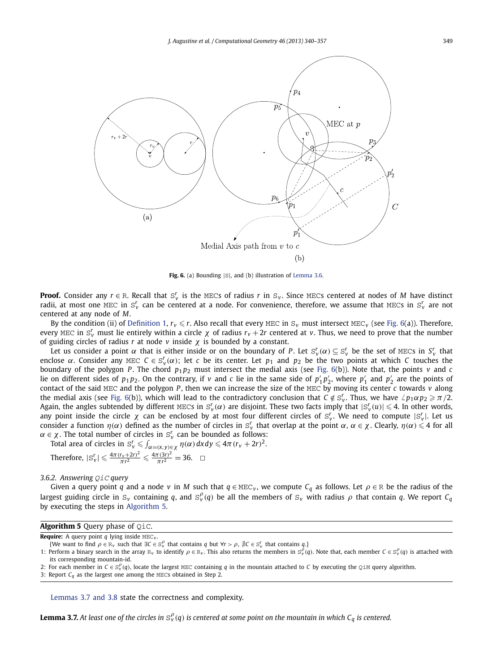<span id="page-9-0"></span>

**Fig. 6.** (a) Bounding  $|S|$ , and (b) illustration of [Lemma 3.6.](#page-8-0)

**Proof.** Consider any  $r \in \mathbb{R}$ . Recall that  $S_v^r$  is the MECs of radius  $r$  in  $S_v$ . Since MECs centered at nodes of *M* have distinct radii, at most one MEC in  $S_v^r$  can be centered at a node. For convenience, therefore, we assume that MECs in  $S_v^r$  are not centered at any node of *M*.

By the condition (ii) of [Definition 1,](#page-8-0)  $r_v \le r$ . Also recall that every MEC in  $S_v$  must intersect MEC<sub>*v*</sub> (see Fig. 6(a)). Therefore, every MEC in  $S_v^r$  must lie entirely within a circle  $\chi$  of radius  $r_v + 2r$  centered at *v*. Thus, we need to prove that the number of guiding circles of radius *r* at node *v* inside *χ* is bounded by a constant.

Let us consider a point  $\alpha$  that is either inside or on the boundary of P. Let  $S_v^r(\alpha) \subseteq S_v^r$  be the set of MECs in  $S_v^r$  that enclose  $\alpha$ . Consider any MEC  $C \in S_v^r(\alpha)$ ; let *c* be its center. Let  $p_1$  and  $p_2$  be the two points at which *C* touches the boundary of the polygon *P*. The chord  $p_1p_2$  must intersect the medial axis (see Fig. 6(b)). Note that, the points *v* and *c* lie on different sides of  $p_1p_2$ . On the contrary, if *v* and *c* lie in the same side of  $p'_1p'_2$ , where  $p'_1$  and  $p'_2$  are the points of contact of the said MEC and the polygon *P*, then we can increase the size of the MEC by moving its center *c* towards  $v$  along the medial axis (see Fig. 6(b)), which will lead to the contradictory conclusion that  $C \notin S_v^r$ . Thus, we have  $\angle p_1 \alpha p_2 \geqslant \pi/2$ . Again, the angles subtended by different MECs in  $S^r_{\nu}(\alpha)$  are disjoint. These two facts imply that  $|S^r_{\nu}(u)|\leqslant 4.$  In other words, any point inside the circle  $\chi$  can be enclosed by at most four different circles of  $S_v^r$ . We need to compute  $|S_v^r|$ . Let us consider a function  $η(α)$  defined as the number of circles in  $S_v^r$  that overlap at the point  $α$ ,  $α ∈ χ$ . Clearly,  $η(α) ≤ 4$  for all  $\alpha \in \chi$ . The total number of circles in  $S_v^r$  can be bounded as follows:

Total area of circles in  $\mathrm{S}^r_\mathrm{v} \leqslant \int_{\alpha = (x,\,y) \in \chi} \eta(\alpha)\, \mathrm{d}x \mathrm{d}y \leqslant 4\pi \, (r_\mathrm{v} + 2r)^2.$ 

Therefore, 
$$
|S_v^r| \le \frac{4\pi (r_v + 2r)^2}{\pi r^2} \le \frac{4\pi (3r)^2}{\pi r^2} = 36.
$$
  $\Box$ 

#### *3.6.2. Answering* QiC *query*

Given a query point *q* and a node *v* in *M* such that  $q \in \text{MEC}_v$ , we compute  $C_q$  as follows. Let  $\rho \in \text{R}$  be the radius of the largest guiding circle in  $S_v$  containing *q*, and  $S_v^{\rho}(q)$  be all the members of  $S_v$  with radius  $\rho$  that contain *q*. We report  $C_q$ by executing the steps in Algorithm 5.

# **Algorithm 5** Query phase of QiC.

**Require:** A query point *q* lying inside MEC*<sup>v</sup>* .

 $\{We$  want to find  $\rho \in \mathbb{R}_v$  such that  $\exists C \in \mathbb{S}_v^{\rho}$  that contains *q* but  $\forall r > \rho$ ,  $\nexists C \in \mathbb{S}_v^r$  that contains *q*.}

1: Perform a binary search in the array  $R_v$  to identify  $\rho \in R_v$ . This also returns the members in  $S_v^{\rho}(q)$ . Note that, each member  $C \in S_v^{\rho}(q)$  is attached with its corresponding mountain-id.

2: For each member in  $C \in S_v^{\rho}(q)$ , locate the largest MEC containing *q* in the mountain attached to *C* by executing the QiM query algorithm.

Lemmas 3.7 and 3.8 state the correctness and complexity.

 ${\bf L}$ emma 3.7. At least one of the circles in  ${\rm S}_v^\rho(q)$  is centered at some point on the mountain in which C<sub>q</sub> is centered.

<sup>3:</sup> Report  $C_q$  as the largest one among the MECs obtained in Step 2.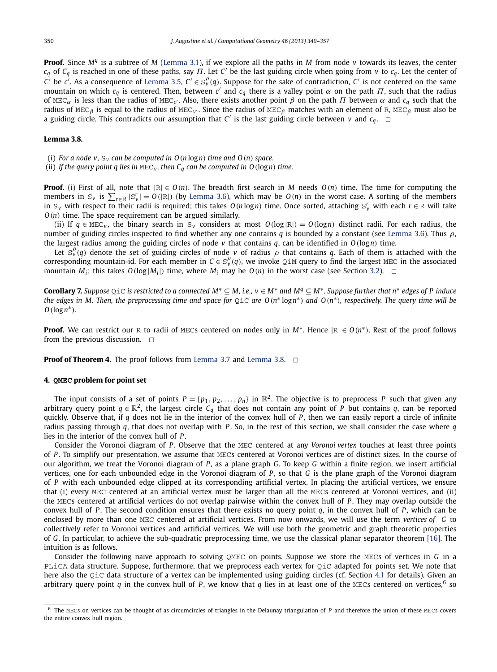<span id="page-10-0"></span>**Proof.** Since *M<sup>q</sup>* is a subtree of *M* [\(Lemma 3.1\)](#page-4-0), if we explore all the paths in *M* from node *v* towards its leaves, the center *cq* of *Cq* is reached in one of these paths, say *Π*. Let *<sup>C</sup>* be the last guiding circle when going from *<sup>v</sup>* to *cq*. Let the center of *C*<sup> $\prime$ </sup> be *c*<sup> $\prime$ </sup>. As a consequence of [Lemma 3.5,](#page-8-0) *C*<sup> $\prime$ </sup>  $\in$  S<sup>*p*</sup><sub> $\prime$ </sub>(*q*). Suppose for the sake of contradiction, *C*<sup> $\prime$ </sup> is not centered on the same mountain on which *cq* is centered. Then, between *<sup>c</sup>* and *cq* there is a valley point *α* on the path *Π*, such that the radius of MEC*α* is less than the radius of MEC*c* . Also, there exists another point *β* on the path *Π* between *α* and *cq* such that the radius of MEC*<sup>β</sup>* is equal to the radius of MEC*v* . Since the radius of MEC*<sup>β</sup>* matches with an element of R, MEC*<sup>β</sup>* must also be a guiding circle. This contradicts our assumption that *C'* is the last guiding circle between *v* and  $c_q$ .  $\Box$ 

### **Lemma 3.8.**

- (i) *For a node v,*  $S_v$  *can be computed in*  $O(n \log n)$  *time and*  $O(n)$  *space.*
- (ii) If the query point q lies in  $MEC_v$ , then  $C_q$  can be computed in  $O(\log n)$  time.

**Proof.** (i) First of all, note that  $|R| \in O(n)$ . The breadth first search in *M* needs  $O(n)$  time. The time for computing the members in  $S_v$  is  $\sum_{r \in R} |S_v^r| = O(|R|)$  (by [Lemma 3.6\)](#page-8-0), which may be  $O(n)$  in the worst case. A sorting of the members in  $S_v$  with respect to their radii is required; this takes  $O(n \log n)$  time. Once sorted, attaching  $S_v^r$  with each  $r \in R$  will take *O(n)* time. The space requirement can be argued similarly.

(ii) If  $q \in MEC_v$ , the binary search in S<sub>v</sub> considers at most  $O(log |R|) = O(log n)$  distinct radii. For each radius, the number of guiding circles inspected to find whether any one contains *q* is bounded by a constant (see [Lemma 3.6\)](#page-8-0). Thus *ρ*, the largest radius among the guiding circles of node  $\nu$  that contains  $q$ , can be identified in  $O(\log n)$  time.

Let  $S_v^{\rho}(q)$  denote the set of guiding circles of node *v* of radius  $\rho$  that contains *q*. Each of them is attached with the corresponding mountain-id. For each member in  $C \in S_v^{\rho}(q)$ , we invoke QiM query to find the largest MEC in the associated mountain  $M_i$ ; this takes  $O(\log|M_i|)$  time, where  $M_i$  may be  $O(n)$  in the worst case (see Section [3.2\)](#page-5-0).  $\Box$ 

**Corollary 7.** *Suppose* QiC *is restricted to a connected M*<sup>∗</sup> ⊆ *M, i.e., v* ∈ *M*<sup>∗</sup> *and M<sup>q</sup>* ⊆ *M*∗*. Suppose further that n*<sup>∗</sup> *edges of P induce the edges in M. Then, the preprocessing time and space for* QiC *are O(n*<sup>∗</sup> log*n*∗*) and O(n*∗*), respectively. The query time will be O(*log*n*∗*).*

**Proof.** We can restrict our R to radii of MECs centered on nodes only in *M*∗. Hence |R| ∈ *O(n*∗*)*. Rest of the proof follows from the previous discussion.  $\Box$ 

**Proof of Theorem 4.** The proof follows from [Lemma 3.7](#page-9-0) and Lemma 3.8. □

# **4. QMEC problem for point set**

The input consists of a set of points  $P = \{p_1, p_2, \ldots, p_n\}$  in  $\mathbb{R}^2$ . The objective is to preprocess P such that given any arbitrary query point  $q \in \mathbb{R}^2$ , the largest circle  $C_q$  that does not contain any point of *P* but contains *q*, can be reported quickly. Observe that, if *q* does not lie in the interior of the convex hull of *P* , then we can easily report a circle of infinite radius passing through *q*, that does not overlap with *P* . So, in the rest of this section, we shall consider the case where *q* lies in the interior of the convex hull of *P* .

Consider the Voronoi diagram of *P* . Observe that the MEC centered at any *Voronoi vertex* touches at least three points of *P* . To simplify our presentation, we assume that MECs centered at Voronoi vertices are of distinct sizes. In the course of our algorithm, we treat the Voronoi diagram of *P* , as a plane graph *G*. To keep *G* within a finite region, we insert artificial vertices, one for each unbounded edge in the Voronoi diagram of *P* , so that *G* is the plane graph of the Voronoi diagram of *P* with each unbounded edge clipped at its corresponding artificial vertex. In placing the artificial vertices, we ensure that (i) every MEC centered at an artificial vertex must be larger than all the MECs centered at Voronoi vertices, and (ii) the MECs centered at artificial vertices do not overlap pairwise within the convex hull of *P* . They may overlap outside the convex hull of *P* . The second condition ensures that there exists no query point *q*, in the convex hull of *P* , which can be enclosed by more than one MEC centered at artificial vertices. From now onwards, we will use the term *vertices of G* to collectively refer to Voronoi vertices and artificial vertices. We will use both the geometric and graph theoretic properties of *G*. In particular, to achieve the sub-quadratic preprocessing time, we use the classical planar separator theorem [\[16\].](#page-17-0) The intuition is as follows.

Consider the following naive approach to solving QMEC on points. Suppose we store the MECs of vertices in *G* in a PLiCA data structure. Suppose, furthermore, that we preprocess each vertex for OiC adapted for points set. We note that here also the QiC data structure of a vertex can be implemented using guiding circles (cf. Section [4.1](#page-14-0) for details). Given an arbitrary query point *q* in the convex hull of *P*, we know that *q* lies in at least one of the MECs centered on vertices,<sup>6</sup> so

<sup>6</sup> The MECs on vertices can be thought of as circumcircles of triangles in the Delaunay triangulation of *P* and therefore the union of these MECs covers the entire convex hull region.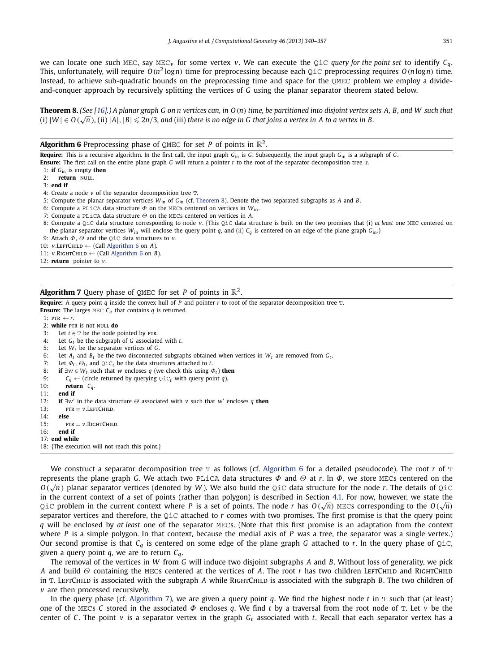<span id="page-11-0"></span>we can locate one such MEC, say MEC*<sup>v</sup>* for some vertex *v*. We can execute the QiC *query for the point set* to identify *Cq*. This, unfortunately, will require  $O(n^2 \log n)$  time for preprocessing because each QiC preprocessing requires  $O(n \log n)$  time. Instead, to achieve sub-quadratic bounds on the preprocessing time and space for the QMEC problem we employ a divideand-conquer approach by recursively splitting the vertices of *G* using the planar separator theorem stated below.

**Theorem 8.** *(See [\[16\].](#page-17-0)) A planar graph G on n vertices can, in O(n) time, be partitioned into disjoint vertex sets A, B, and W such that* **Theorem 8.** (See [16].) A planar graph G on h vertices can, in  $O(n)$  time, be partitioned into alsjoint vertex is<br>(i)  $|W| \in O(\sqrt{n})$ , (ii)  $|A|, |B| \le 2n/3$ , and (iii) there is no edge in G that joins a vertex in A to a ver

# **Algorithm 6** Preprocessing phase of QMEC for set *P* of points in  $\mathbb{R}^2$ .

**Require:** This is a recursive algorithm. In the first call, the input graph *G*in is *G*. Subsequently, the input graph *G*in is a subgraph of *G*.

**Ensure:** The first call on the entire plane graph *G* will return a pointer *r* to the root of the separator decomposition tree T.

- 1: **if** *G*in is empty **then**
- 2: **return** null.
- 3: **end if**

4: Create a node *v* of the separator decomposition tree T.

- 5: Compute the planar separator vertices *W*in of *G*in (cf. Theorem 8). Denote the two separated subgraphs as *A* and *B*.
- 6: Compute a PLiCA data structure *Φ* on the MECs centered on vertices in *W*in.
- 7: Compute a PLiCA data structure *Θ* on the MECs centered on vertices in *A*.
- 8: Compute a QiC data structure corresponding to node *v*. {This QiC data structure is built on the two promises that (i) *at least* one MEC centered on the planar separator vertices  $W_{in}$  will enclose the query point *q*, and (ii)  $C_q$  is centered on an edge of the plane graph  $G_{in}$ .}
- 9: Attach *Φ*, *Θ* and the QiC data structures to *v*.

10: *v.*LeftChild ← (Call Algorithm 6 on *A*).

11: *v.*RightChild ← (Call Algorithm 6 on *B*).

12: **return** pointer to *v*.

# **Algorithm 7** Query phase of QMEC for set *P* of points in  $\mathbb{R}^2$ .

**Require:** A query point *q* inside the convex hull of *P* and pointer *r* to root of the separator decomposition tree T. **Ensure:** The larges MEC  $C_q$  that contains  $q$  is returned.

- 1:  $PTR \leftarrow r$ .
- 2: **while** PTR is not NULL **do**
- 3: Let  $t \in T$  be the node pointed by PTR.
- 4: Let *Gt* be the subgraph of *G* associated with *t*.
- 5: Let  $W_t$  be the separator vertices of *G*.<br>6: Let  $A_t$  and  $B_t$  be the two disconnected
- Let  $A_t$  and  $B_t$  be the two disconnected subgraphs obtained when vertices in  $W_t$  are removed from  $G_t$ .
- 7: Let  $\Phi_t$ ,  $\Theta_t$ , and QiC<sub>t</sub> be the data structures attached to *t*.<br>8: **if**  $\exists w \in W_t$  such that w encloses *a* (we check this using *d*
- **if** ∃*w* ∈ *W<sub>t</sub>* such that *w* encloses *q* (we check this using  $\Phi$ <sup>t</sup>) **then**
- 9:  $C_q \leftarrow$  (circle returned by querying  $Qic_t$  with query point *q*).<br>10: **return**  $C_q$ .
- 10: **return** *Cq* .
- 11: **end if**
- 12: **if** ∃*w* in the data structure *Θ* associated with *v* such that *w* encloses *q* **then**
- $13:$   $prR = v$  LEFTCHILD.
- 14: **else**
- $15:$  ptr  $-v$  RIGHTCHILD.
- 16: **end if**
- 17: **end while**

18: {The execution will not reach this point.}

We construct a separator decomposition tree T as follows (cf. Algorithm 6 for a detailed pseudocode). The root *r* of T represents the plane graph *G*. We attach two PLiCA data structures *Φ* and *Θ* at *r*. In *Φ*, we store MECs centered on the *O(* <sup>√</sup>*<sup>n</sup> )* planar separator vertices (denoted by *<sup>W</sup>* ). We also build the QiC data structure for the node *<sup>r</sup>*. The details of QiC in the current context of a set of points (rather than polygon) is described in Section [4.1.](#page-14-0) For now, however, we state the  $\Omega$  is the current context of a set of points (rather than polygon) is described in section 4.1, for how, however, we state the  $O(\sqrt{n})$  of  $\Omega$  is a set of points. The node *r* has  $O(\sqrt{n})$  MECs corresponding to the  $O(\sqrt{n$ separator vertices and therefore, the QiC attached to *r* comes with two promises. The first promise is that the query point *q* will be enclosed by *at least* one of the separator MECs. (Note that this first promise is an adaptation from the context where *P* is a simple polygon. In that context, because the medial axis of *P* was a tree, the separator was a single vertex.) Our second promise is that  $C_q$  is centered on some edge of the plane graph G attached to r. In the query phase of  $Q_iC$ , given a query point *q*, we are to return *Cq*.

The removal of the vertices in *W* from *G* will induce two disjoint subgraphs *A* and *B*. Without loss of generality, we pick *A* and build *Θ* containing the MECs centered at the vertices of *A*. The root *r* has two children LEFTCHILD and RIGHTCHILD in T. LEFTCHILD is associated with the subgraph *A* while RIGHTCHILD is associated with the subgraph *B*. The two children of *v* are then processed recursively.

In the query phase (cf. Algorithm 7), we are given a query point *q*. We find the highest node *t* in T such that (at least) one of the MECs *C* stored in the associated *Φ* encloses *q*. We find *t* by a traversal from the root node of T. Let *v* be the center of C. The point  $v$  is a separator vertex in the graph  $G_t$  associated with  $t$ . Recall that each separator vertex has a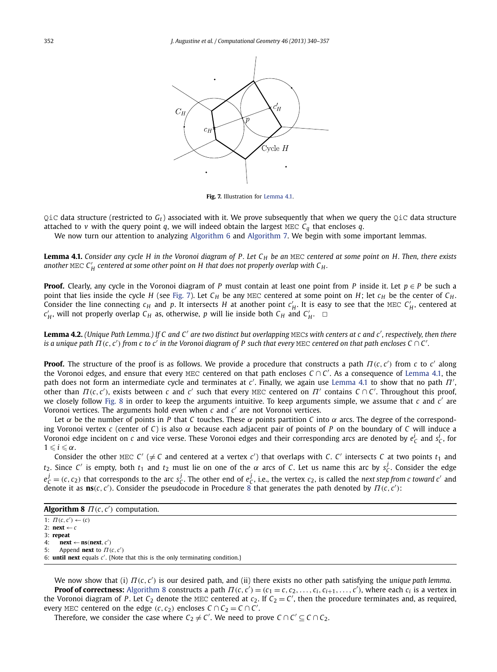<span id="page-12-0"></span>

**Fig. 7.** Illustration for Lemma 4.1.

 $QiC$  data structure (restricted to  $G_t$ ) associated with it. We prove subsequently that when we query the  $QiC$  data structure attached to *v* with the query point *q*, we will indeed obtain the largest MEC  $C_q$  that encloses *q*.

We now turn our attention to analyzing [Algorithm 6](#page-11-0) and [Algorithm 7.](#page-11-0) We begin with some important lemmas.

**Lemma 4.1.** *Consider any cycle H in the Voronoi diagram of P . Let C <sup>H</sup> be an* MEC *centered at some point on H. Then, there exists* another MEC  $C'_H$  centered at some other point on H that does not properly overlap with  $C_H$ .

**Proof.** Clearly, any cycle in the Voronoi diagram of *P* must contain at least one point from *P* inside it. Let  $p \in P$  be such a point that lies inside the cycle *H* (see Fig. 7). Let  $C_H$  be any MEC centered at some point on *H*; let  $c_H$  be the center of  $C_H$ . Consider the line connecting  $c_H$  and p. It intersects *H* at another point  $c'_H$ . It is easy to see that the MEC  $C'_H$ , centered at  $c'_{H}$ , will not properly overlap  $C_{H}$  as, otherwise, *p* will lie inside both  $C_{H}$  and  $C'_{H}$ .

**Lemma 4.2.** *(Unique Path Lemma.) If C and C are two distinct but overlapping* MEC*s with centers at c and c , respectively, then there is a unique path*  $\Pi$ *(c, c') from c to c' in the Voronoi diagram of P such that every MEC centered on that path encloses C ∩ C'.* 

**Proof.** The structure of the proof is as follows. We provide a procedure that constructs a path *Π (c, c )* from *c* to *c* along the Voronoi edges, and ensure that every MEC centered on that path encloses  $C \cap C'$ . As a consequence of Lemma 4.1, the path does not form an intermediate cycle and terminates at *c* . Finally, we again use Lemma 4.1 to show that no path *Π* ,  $\overline{I}$  *other than*  $\Pi$ (*c*, *c'*), exists between *c* and *c'* such that every MEC centered on  $\Pi'$  contains *C* ∩ *C'*. Throughout this proof, we closely follow [Fig. 8](#page-13-0) in order to keep the arguments intuitive. To keep arguments simple, we assume that *c* and *c* are Voronoi vertices. The arguments hold even when  $c$  and  $c'$  are not Voronoi vertices.

Let  $\alpha$  be the number of points in *P* that *C* touches. These  $\alpha$  points partition *C* into  $\alpha$  arcs. The degree of the corresponding Voronoi vertex *c* (center of *C*) is also *α* because each adjacent pair of points of *P* on the boundary of *C* will induce a Voronoi edge incident on *c* and vice verse. These Voronoi edges and their corresponding arcs are denoted by  $e_C^i$  and  $s_C^i$ , for  $1 \leq i \leq \alpha$ .

Consider the other MEC  $C' \neq C$  and centered at a vertex  $c'$ ) that overlaps with C.  $C'$  intersects C at two points  $t_1$  and *t*<sub>2</sub>. Since *C'* is empty, both  $t_1$  and  $t_2$  must lie on one of the  $\alpha$  arcs of *C*. Let us name this arc by  $s_C^j$ . Consider the edge  $e_C^j$  = (c, c<sub>2</sub>) that corresponds to the arc s<sub>C</sub>. The other end of  $e_C^j$ , i.e., the vertex c<sub>2</sub>, is called the *next step from c toward c'* and denote it as  $\textbf{ns}(c, c')$ . Consider the pseudocode in Procedure 8 that generates the path denoted by  $\Pi(c, c')$ :

| <b>Algorithm 8</b> $\Pi(c, c')$ computation. |
|----------------------------------------------|
|----------------------------------------------|

1:  $\Pi(c, c') \leftarrow (c)$ 

2:  $next \leftarrow c$ 

3: **repeat**

4: **next** ← **ns***(***next***, c )* 5: Append **next** to  $\Pi(c, c')$ 

6: **until next** equals *c* . {Note that this is the only terminating condition.}

We now show that (i) *Π (c, c )* is our desired path, and (ii) there exists no other path satisfying the *unique path lemma*. **Proof of correctness:** Algorithm 8 constructs a path  $\Pi(c, c') = (c_1 = c, c_2, \ldots, c_i, c_{i+1}, \ldots, c')$ , where each  $c_i$  is a vertex in the Voronoi diagram of P. Let  $C_2$  denote the MEC centered at  $c_2$ . If  $C_2 = C'$ , then the procedure terminates and, as required, every MEC centered on the edge  $(c, c_2)$  encloses  $C \cap C_2 = C \cap C'$ .

Therefore, we consider the case where  $C_2 \neq C'$ . We need to prove  $C \cap C' \subseteq C \cap C_2$ .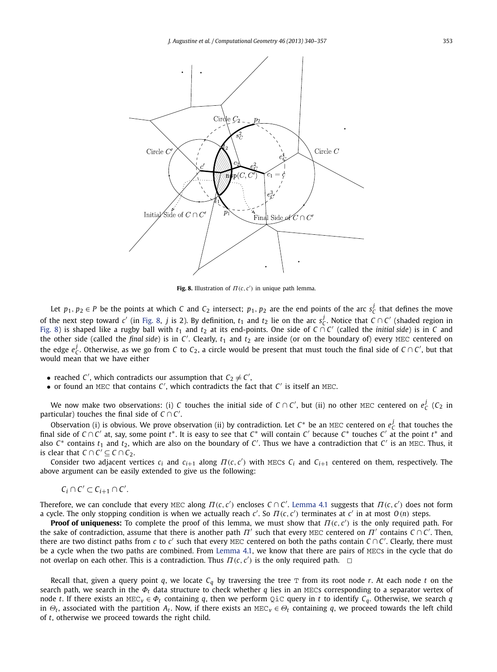<span id="page-13-0"></span>

**Fig. 8.** Illustration of  $\Pi(c, c')$  in unique path lemma.

Let  $p_1, p_2 \in P$  be the points at which *C* and  $C_2$  intersect;  $p_1, p_2$  are the end points of the arc  $s_C^j$  that defines the move of the next step toward *c'* (in Fig. 8, *j* is 2). By definition,  $t_1$  and  $t_2$  lie on the arc  $s_C^j$ . Notice that  $C \cap C'$  (shaded region in Fig. 8) is shaped like a rugby ball with *<sup>t</sup>*<sup>1</sup> and *<sup>t</sup>*<sup>2</sup> at its end-points. One side of *<sup>C</sup>* ∩ *<sup>C</sup>* (called the *initial side*) is in *<sup>C</sup>* and the other side (called the *final side*) is in *C* . Clearly, *t*<sup>1</sup> and *t*<sup>2</sup> are inside (or on the boundary of) every MEC centered on the edge  $e_C^j$ . Otherwise, as we go from *C* to  $C_2$ , a circle would be present that must touch the final side of *C* ∩ *C'*, but that would mean that we have either

- reached *C'*, which contradicts our assumption that  $C_2 \neq C'$ ,
- or found an MEC that contains *C* , which contradicts the fact that *C* is itself an MEC.

We now make two observations: (i) *C* touches the initial side of *C* ∩ *C'*, but (ii) no other MEC centered on  $e_C^j$  (*C*<sub>2</sub> in particular) touches the final side of  $C \cap C'$ .

Observation (i) is obvious. We prove observation (ii) by contradiction. Let  $C^*$  be an MEC centered on  $e_C^j$  that touches the final side of *C* ∩ *C* at, say, some point *t*∗. It is easy to see that *C*<sup>∗</sup> will contain *C* because *C*<sup>∗</sup> touches *C* at the point *t*<sup>∗</sup> and also  $C^*$  contains  $t_1$  and  $t_2$ , which are also on the boundary of  $C'$ . Thus we have a contradiction that  $C'$  is an MEC. Thus, it is clear that  $C \cap C' \subseteq C \cap C_2$ .

Consider two adjacent vertices *ci* and *ci*+<sup>1</sup> along *Π (c, <sup>c</sup> )* with MECs *Ci* and *Ci*+<sup>1</sup> centered on them, respectively. The above argument can be easily extended to give us the following:

$$
C_i \cap C' \subset C_{i+1} \cap C'.
$$

Therefore, we can conclude that every MEC along  $\Pi(c, c')$  encloses  $C \cap C'$ . [Lemma 4.1](#page-12-0) suggests that  $\Pi(c, c')$  does not form a cycle. The only stopping condition is when we actually reach *c* . So *Π (c, c )* terminates at *c* in at most *O(n)* steps.

**Proof of uniqueness:** To complete the proof of this lemma, we must show that *Π (c, c )* is the only required path. For the sake of contradiction, assume that there is another path  $\Pi'$  such that every MEC centered on  $\Pi'$  contains  $C \cap C'$ . Then, there are two distinct paths from  $c$  to  $c'$  such that every MEC centered on both the paths contain  $C \cap C'$ . Clearly, there must be a cycle when the two paths are combined. From [Lemma 4.1,](#page-12-0) we know that there are pairs of MECs in the cycle that do not overlap on each other. This is a contradiction. Thus  $\Pi(c, c')$  is the only required path.  $\Box$ 

Recall that, given a query point  $q$ , we locate  $C_q$  by traversing the tree  $T$  from its root node  $r$ . At each node  $t$  on the search path, we search in the *Φ<sup>t</sup>* data structure to check whether *q* lies in an MECs corresponding to a separator vertex of node *t*. If there exists an MEC<sub>*v*</sub>  $\in \Phi_t$  containing *q*, then we perform Q<sub>i</sub>C query in *t* to identify  $C_q$ . Otherwise, we search *q* in  $\Theta_t$ , associated with the partition  $A_t$ . Now, if there exists an MEC<sub>V</sub>  $\in \Theta_t$  containing *q*, we proceed towards the left child of *t*, otherwise we proceed towards the right child.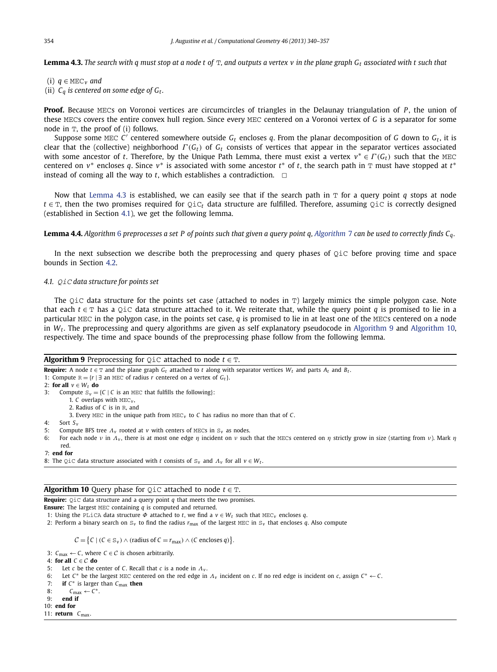<span id="page-14-0"></span>**Lemma 4.3.** The search with q must stop at a node t of  $T$ , and outputs a vertex v in the plane graph G<sub>t</sub> associated with t such that

- (i) *q* ∈ MEC*<sup>v</sup> and*
- (ii)  $C_q$  *is centered on some edge of*  $G_t$ *.*

**Proof.** Because MECs on Voronoi vertices are circumcircles of triangles in the Delaunay triangulation of *P*, the union of these MECs covers the entire convex hull region. Since every MEC centered on a Voronoi vertex of *G* is a separator for some node in T, the proof of (i) follows.

Suppose some MEC C' centered somewhere outside  $G_t$  encloses q. From the planar decomposition of G down to  $G_t$ , it is clear that the (collective) neighborhood *Γ (Gt)* of *Gt* consists of vertices that appear in the separator vertices associated with some ancestor of *t*. Therefore, by the Unique Path Lemma, there must exist a vertex  $v^* \in \Gamma(G_t)$  such that the MEC centered on *v*<sup>∗</sup> encloses *q*. Since *v*<sup>∗</sup> is associated with some ancestor *t*<sup>∗</sup> of *t*, the search path in T must have stopped at *t*<sup>∗</sup> instead of coming all the way to *t*, which establishes a contradiction.  $\Box$ 

Now that Lemma 4.3 is established, we can easily see that if the search path in  $T$  for a query point  $q$  stops at node *t* ∈ T, then the two promises required for QiC<sub>t</sub> data structure are fulfilled. Therefore, assuming QiC is correctly designed (established in Section 4.1), we get the following lemma.

**Lemma 4.4.** *Algorithm* [6](#page-11-0) *preprocesses a set P of points such that given a query point q, [Algorithm](#page-11-0)* 7 *can be used to correctly finds Cq.*

In the next subsection we describe both the preprocessing and query phases of QiC before proving time and space bounds in Section [4.2.](#page-15-0)

# *4.1.* QiC *data structure for points set*

The QiC data structure for the points set case (attached to nodes in  $T$ ) largely mimics the simple polygon case. Note that each *t* ∈ T has a QiC data structure attached to it. We reiterate that, while the query point *q* is promised to lie in a particular MEC in the polygon case, in the points set case, *q* is promised to lie in at least one of the MECs centered on a node in *Wt*. The preprocessing and query algorithms are given as self explanatory pseudocode in Algorithm 9 and Algorithm 10, respectively. The time and space bounds of the preprocessing phase follow from the following lemma.

# **Algorithm 9** Preprocessing for  $Q$ iC attached to node  $t \in T$ .

**Require:** A node  $t \in T$  and the plane graph  $G_t$  attached to  $t$  along with separator vertices  $W_t$  and parts  $A_t$  and  $B_t$ .

```
1: Compute R = \{r | \exists \text{ an MEC of radius } r \text{ centered on a vertex of } G_t\}.
```
- 2: **for all** *v* ∈ *Wt* **do**
- 3: Compute  $S_v = \{C \mid C \text{ is an MEC that fulfills the following} \}$ :
	- 1. *C* overlaps with MEC*<sup>v</sup>* ,
	- 2. Radius of *C* is in R, and
	- 3. Every MEC in the unique path from MEC*<sup>v</sup>* to *C* has radius no more than that of *C*.
- 4: Sort *S <sup>v</sup>*
- 5: Compute BFS tree *Λ<sup>v</sup>* rooted at *v* with centers of MECs in S*<sup>v</sup>* as nodes.
- 6: For each node *ν* in  $Λ$ <sup>*ν*</sup>, there is at most one edge *η* incident on *ν* such that the MECs centered on *η* strictly grow in size (starting from *ν*). Mark *η* red.
- 7: **end for**
- 8: The QiC data structure associated with *t* consists of  $S_v$  and  $\Lambda_v$  for all  $v \in W_t$ .

# **Algorithm 10** Query phase for  $Q$ iC attached to node  $t \in T$ .

**Require:** QiC data structure and a query point *q* that meets the two promises.

**Ensure:** The largest MEC containing *q* is computed and returned.

1: Using the PLiCA data structure  $\Phi$  attached to *t*, we find a  $v \in W_t$  such that MEC<sub>*v*</sub> encloses *q*.

2: Perform a binary search on  $S_v$  to find the radius  $r_{\text{max}}$  of the largest MEC in  $S_v$  that encloses *q*. Also compute

 $C = \{C \mid (C \in S_v) \land (radians \text{ of } C = r_{max}) \land (C \text{ encloses } q)\}.$ 

3:  $C_{\text{max}} \leftarrow C$ , where  $C \in \mathcal{C}$  is chosen arbitrarily.

4: **for all**  $C \in C$  **do**<br>5: Let *c* be the *C* 

- Let *c* be the center of *C*. Recall that *c* is a node in  $Λ<sub>v</sub>$ .
- 6: Let *<sup>C</sup>*<sup>∗</sup> be the largest MEC centered on the red edge in *Λ<sup>v</sup>* incident on *<sup>c</sup>*. If no red edge is incident on *<sup>c</sup>*, assign *<sup>C</sup>*<sup>∗</sup> ← *<sup>C</sup>*.
- 7: **if** *<sup>C</sup>*<sup>∗</sup> is larger than *<sup>C</sup>*max **then**
- 8:  $C_{\text{max}} \leftarrow C^*$ .<br>9: **end if**
- 9: **end if**
- 10: **end for**
- 11: **return** *C*max.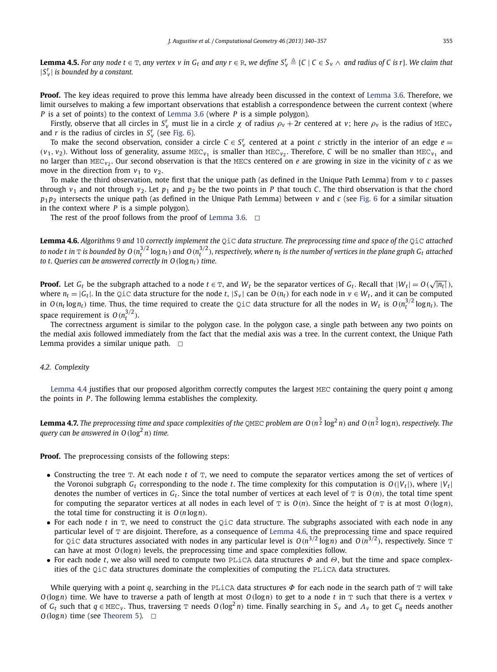<span id="page-15-0"></span>**Lemma 4.5.** For any node  $t \in T$ , any vertex v in  $G_t$  and any  $r \in R$ , we define  $S_v^r \triangleq$  {C | C  $\in S_v \wedge$  and radius of C is r}. We claim that  $|S_v^r|$  *is bounded by a constant.* 

**Proof.** The key ideas required to prove this lemma have already been discussed in the context of [Lemma 3.6.](#page-8-0) Therefore, we limit ourselves to making a few important observations that establish a correspondence between the current context (where *P* is a set of points) to the context of [Lemma 3.6](#page-8-0) (where *P* is a simple polygon).

Firstly, observe that all circles in  $S_v^r$  must lie in a circle  $\chi$  of radius  $\rho_v + 2r$  centered at  $v$ ; here  $\rho_v$  is the radius of MEC<sub>*v*</sub> and *r* is the radius of circles in  $S_v^r$  (see [Fig. 6\)](#page-9-0).

To make the second observation, consider a circle  $C \in S_v^r$  centered at a point  $c$  strictly in the interior of an edge  $e=$  $(v_1, v_2)$ . Without loss of generality, assume MEC<sub>*v*1</sub> is smaller than MEC<sub>*v*2</sub>. Therefore, *C* will be no smaller than MEC<sub>*v*1</sub> and no larger than MEC<sub>*v*2</sub>. Our second observation is that the MECs centered on *e* are growing in size in the vicinity of *c* as we move in the direction from  $v_1$  to  $v_2$ .

To make the third observation, note first that the unique path (as defined in the Unique Path Lemma) from *v* to *c* passes through  $v_1$  and not through  $v_2$ . Let  $p_1$  and  $p_2$  be the two points in *P* that touch *C*. The third observation is that the chord  $p_1 p_2$  intersects the unique path (as defined in the Unique Path Lemma) between *v* and *c* (see [Fig. 6](#page-9-0) for a similar situation in the context where *P* is a simple polygon).

The rest of the proof follows from the proof of [Lemma 3.6.](#page-8-0)  $\Box$ 

**Lemma 4.6.** *Algorithms* [9](#page-14-0) *and* [10](#page-14-0) *correctly implement the* QiC *data structure. The preprocessing time and space of the* QiC *attached* to node t in  $\rm{T}$  is bounded by O ( $n_t^{3/2}$  log $n_t$ ) and O ( $n_t^{3/2}$ ), respectively, where  $n_t$  is the number of vertices in the plane graph G $_t$  attached *to t. Queries can be answered correctly in O(*log*nt) time.*

**Proof.** Let  $G_t$  be the subgraph attached to a node  $t \in \mathbb{T}$ , and  $W_t$  be the separator vertices of  $G_t$ . Recall that  $|W_t| = O\left(\sqrt{|n_t|}\right)$ , where  $n_t = |G_t|$ . In the QiC data structure for the node *t*,  $|S_v|$  can be  $O(n_t)$  for each node in  $v \in W_t$ , and it can be computed in  $O(n_t \log n_t)$  time. Thus, the time required to create the QiC data structure for all the nodes in  $W_t$  is  $O(n_t^{3/2} \log n_t)$ . The space requirement is  $O(n_t^{3/2})$ .

The correctness argument is similar to the polygon case. In the polygon case, a single path between any two points on the medial axis followed immediately from the fact that the medial axis was a tree. In the current context, the Unique Path Lemma provides a similar unique path.  $\Box$ 

# *4.2. Complexity*

[Lemma 4.4](#page-14-0) justifies that our proposed algorithm correctly computes the largest MEC containing the query point *q* among the points in *P* . The following lemma establishes the complexity.

**Lemma 4.7.** *The preprocessing time and space complexities of the* QMEC *problem are O(n* 3 <sup>2</sup> log<sup>2</sup> *n) and O(n* 3 <sup>2</sup> log*n), respectively. The query can be answered in O(*log<sup>2</sup> *n) time.*

**Proof.** The preprocessing consists of the following steps:

- Constructing the tree T. At each node *t* of T, we need to compute the separator vertices among the set of vertices of the Voronoi subgraph  $G_t$  corresponding to the node *t*. The time complexity for this computation is  $O(|V_t|)$ , where  $|V_t|$ denotes the number of vertices in  $G_t$ . Since the total number of vertices at each level of  $T$  is  $O(n)$ , the total time spent for computing the separator vertices at all nodes in each level of  $T$  is  $O(n)$ . Since the height of  $T$  is at most  $O(logn)$ , the total time for constructing it is *O(n* log*n)*.
- For each node *t* in T, we need to construct the QiC data structure. The subgraphs associated with each node in any particular level of  $T$  are disjoint. Therefore, as a consequence of Lemma 4.6, the preprocessing time and space required for QiC data structures associated with nodes in any particular level is  $O(n^{3/2} \log n)$  and  $O(n^{3/2})$ , respectively. Since T can have at most *O(*log*n)* levels, the preprocessing time and space complexities follow.
- For each node *t*, we also will need to compute two PLiCA data structures  $\Phi$  and  $\Theta$ , but the time and space complexities of the QiC data structures dominate the complexities of computing the PLiCA data structures.

While querying with a point *q*, searching in the PLiCA data structures *Φ* for each node in the search path of T will take *O(*log*n)* time. We have to traverse a path of length at most *O(*log*n)* to get to a node *t* in T such that there is a vertex *v* of  $G_t$  such that  $q \in \text{MEC}_v$ . Thus, traversing T needs  $O(\log^2 n)$  time. Finally searching in  $S_v$  and  $\Lambda_v$  to get  $C_q$  needs another  $O(\log n)$  time (see [Theorem 5\)](#page-7-0).  $\Box$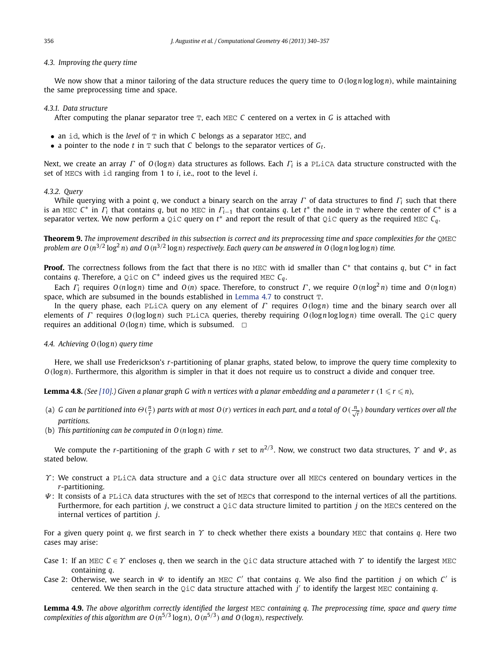# <span id="page-16-0"></span>*4.3. Improving the query time*

We now show that a minor tailoring of the data structure reduces the query time to *O(*log*n* log log*n)*, while maintaining the same preprocessing time and space.

# *4.3.1. Data structure*

After computing the planar separator tree T, each MEC *C* centered on a vertex in *G* is attached with

- an id, which is the *level* of T in which *C* belongs as a separator MEC, and
- a pointer to the node  $t$  in  $T$  such that  $C$  belongs to the separator vertices of  $G_t$ .

Next, we create an array *Γ* of *O(*log*n)* data structures as follows. Each *Γ<sup>i</sup>* is a PLiCA data structure constructed with the set of MECs with id ranging from 1 to *i*, i.e., root to the level *i*.

# *4.3.2. Query*

While querying with a point *q*, we conduct a binary search on the array *Γ* of data structures to find *Γ<sup>i</sup>* such that there is an MEC  $C^*$  in  $\Gamma$ <sup>*i*</sup> that contains *q*, but no MEC in  $\Gamma$ <sup>*i*</sup> -1 that contains *q*. Let  $t^*$  the node in T where the center of  $C^*$  is a separator vertex. We now perform a QiC query on  $t^*$  and report the result of that QiC query as the required MEC  $C_q$ .

**Theorem 9.** *The improvement described in this subsection is correct and its preprocessing time and space complexities for the* QMEC problem are  $O(n^{3/2} \log^2 n)$  and  $O(n^{3/2} \log n)$  respectively. Each query can be answered in  $O(\log n \log \log n)$  time.

**Proof.** The correctness follows from the fact that there is no MEC with id smaller than *C*<sup>∗</sup> that contains *q*, but *C*<sup>∗</sup> in fact contains *q*. Therefore, a  $Q$ iC on  $C^*$  indeed gives us the required MEC  $C_q$ .

Each  $\Gamma_i$  requires  $O(n \log n)$  time and  $O(n)$  space. Therefore, to construct  $\Gamma$ , we require  $O(n \log^2 n)$  time and  $O(n \log n)$ space, which are subsumed in the bounds established in [Lemma 4.7](#page-15-0) to construct  $T$ .

In the query phase, each PLiCA query on any element of *Γ* requires *O(*log*n)* time and the binary search over all elements of *Γ* requires *O(*log log*n)* such PLiCA queries, thereby requiring *O(*log*n* log log*n)* time overall. The QiC query requires an additional  $O(\log n)$  time, which is subsumed.  $\Box$ 

# *4.4. Achieving O(*log*n) query time*

Here, we shall use Frederickson's *r*-partitioning of planar graphs, stated below, to improve the query time complexity to *O(*log*n)*. Furthermore, this algorithm is simpler in that it does not require us to construct a divide and conquer tree.

**Lemma 4.8.** (See [\[10\].](#page-17-0)) Given a planar graph G with n vertices with a planar embedding and a parameter  $r$  (1  $\leq r \leq n$ ),

- (a) G can be partitioned into  $\Theta(\frac{n}{r})$  parts with at most O(r) vertices in each part, and a total of O( $\frac{n}{\sqrt{r}}$ ) boundary vertices over all the *partitions.*
- (b) *This partitioning can be computed in O(n* log*n) time.*

We compute the *r*-partitioning of the graph *G* with *r* set to *n*2*/*3. Now, we construct two data structures, *Υ* and *Ψ* , as stated below.

- *Y*: We construct a PLiCA data structure and a QiC data structure over all MECs centered on boundary vertices in the *r*-partitioning.
- *Ψ* : It consists of a PLiCA data structures with the set of MECs that correspond to the internal vertices of all the partitions. Furthermore, for each partition *j*, we construct a QiC data structure limited to partition *j* on the MECs centered on the internal vertices of partition *j*.

For a given query point *q*, we first search in  $\gamma$  to check whether there exists a boundary MEC that contains *q*. Here two cases may arise:

- Case 1: If an MEC *C* ∈ *Υ* encloses *q*, then we search in the QiC data structure attached with *Υ* to identify the largest MEC containing *q*.
- Case 2: Otherwise, we search in *Ψ* to identify an MEC *C* that contains *q*. We also find the partition *j* on which *C* is centered. We then search in the QiC data structure attached with  $j'$  to identify the largest MEC containing  $q$ .

**Lemma 4.9.** *The above algorithm correctly identified the largest* MEC *containing q. The preprocessing time, space and query time complexities of this algorithm are*  $O(n^{5/3} \log n)$ *,*  $O(n^{5/3})$  *<i>and*  $O(\log n)$ *, respectively.*